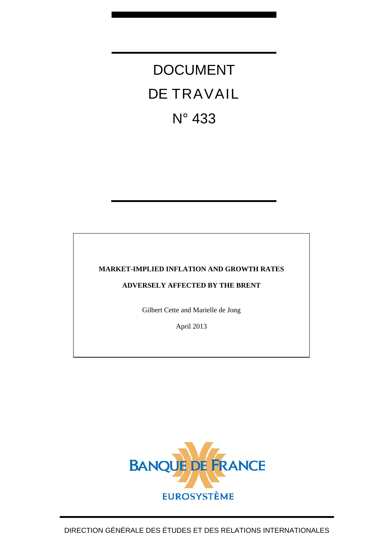# DOCUMENT DE TRAVAIL N° 433

# **MARKET-IMPLIED INFLATION AND GROWTH RATES**

# **ADVERSELY AFFECTED BY THE BRENT**

Gilbert Cette and Marielle de Jong

April 2013

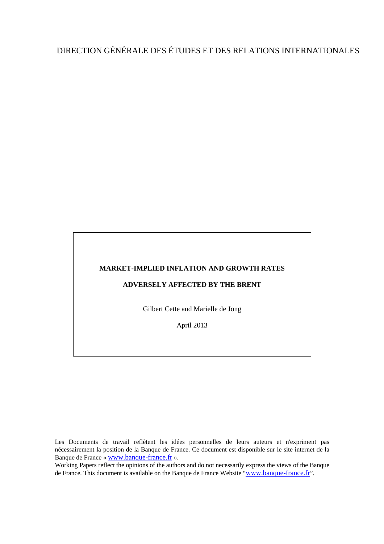# DIRECTION GÉNÉRALE DES ÉTUDES ET DES RELATIONS INTERNATIONALES

#### **MARKET-IMPLIED INFLATION AND GROWTH RATES**

# **ADVERSELY AFFECTED BY THE BRENT**

Gilbert Cette and Marielle de Jong

April 2013

Les Documents de travail reflètent les idées personnelles de leurs auteurs et n'expriment pas nécessairement la position de la Banque de France. Ce document est disponible sur le site internet de la Banque de France « [www.banque-france.fr](http://www.banque-france.fr/) ».

Working Papers reflect the opinions of the authors and do not necessarily express the views of the Banque de France. This document is available on the Banque de France Website "[www.banque-france.fr](http://www.banque-france.fr/)".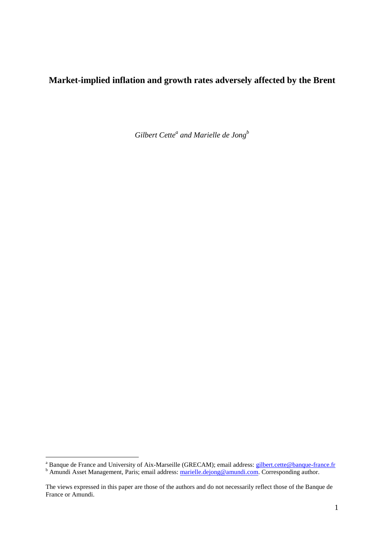# **Market-implied inflation and growth rates adversely affected by the Brent**

*Gilbert Cette<sup>a</sup> and Marielle de Jong<sup>b</sup>*

a<br>A Banque de France and University of Aix-Marseille (GRECAM); email address: **gilbert.cette@banque-france.fr**<br>b Amundi Asset Management, Paris; email address: marielle.dejong@amundi.com. Corresponding author.

The views expressed in this paper are those of the authors and do not necessarily reflect those of the Banque de France or Amundi.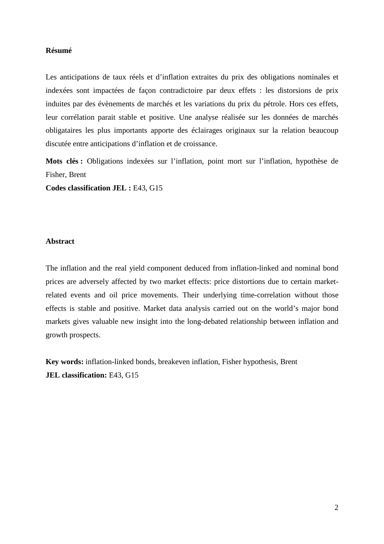# **Résumé**

Les anticipations de taux réels et d'inflation extraites du prix des obligations nominales et indexées sont impactées de façon contradictoire par deux effets : les distorsions de prix induites par des évènements de marchés et les variations du prix du pétrole. Hors ces effets, leur corrélation parait stable et positive. Une analyse réalisée sur les données de marchés obligataires les plus importants apporte des éclairages originaux sur la relation beaucoup discutée entre anticipations d'inflation et de croissance.

**Mots clés :** Obligations indexées sur l'inflation, point mort sur l'inflation, hypothèse de Fisher, Brent

**Codes classification JEL :** E43, G15

# **Abstract**

The inflation and the real yield component deduced from inflation-linked and nominal bond prices are adversely affected by two market effects: price distortions due to certain marketrelated events and oil price movements. Their underlying time-correlation without those effects is stable and positive. Market data analysis carried out on the world's major bond markets gives valuable new insight into the long-debated relationship between inflation and growth prospects.

**Key words:** inflation-linked bonds, breakeven inflation, Fisher hypothesis, Brent **JEL classification:** E43, G15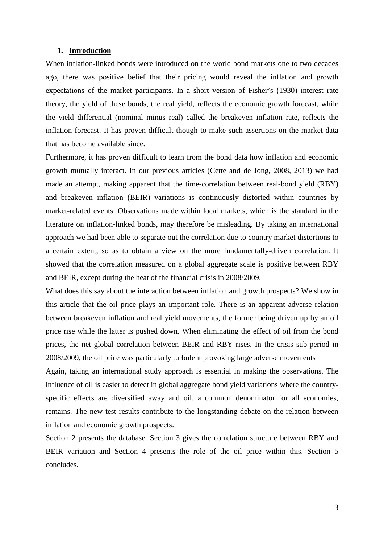# **1. Introduction**

When inflation-linked bonds were introduced on the world bond markets one to two decades ago, there was positive belief that their pricing would reveal the inflation and growth expectations of the market participants. In a short version of Fisher's (1930) interest rate theory, the yield of these bonds, the real yield, reflects the economic growth forecast, while the yield differential (nominal minus real) called the breakeven inflation rate, reflects the inflation forecast. It has proven difficult though to make such assertions on the market data that has become available since.

Furthermore, it has proven difficult to learn from the bond data how inflation and economic growth mutually interact. In our previous articles (Cette and de Jong, 2008, 2013) we had made an attempt, making apparent that the time-correlation between real-bond yield (RBY) and breakeven inflation (BEIR) variations is continuously distorted within countries by market-related events. Observations made within local markets, which is the standard in the literature on inflation-linked bonds, may therefore be misleading. By taking an international approach we had been able to separate out the correlation due to country market distortions to a certain extent, so as to obtain a view on the more fundamentally-driven correlation. It showed that the correlation measured on a global aggregate scale is positive between RBY and BEIR, except during the heat of the financial crisis in 2008/2009.

What does this say about the interaction between inflation and growth prospects? We show in this article that the oil price plays an important role. There is an apparent adverse relation between breakeven inflation and real yield movements, the former being driven up by an oil price rise while the latter is pushed down. When eliminating the effect of oil from the bond prices, the net global correlation between BEIR and RBY rises. In the crisis sub-period in 2008/2009, the oil price was particularly turbulent provoking large adverse movements

Again, taking an international study approach is essential in making the observations. The influence of oil is easier to detect in global aggregate bond yield variations where the countryspecific effects are diversified away and oil, a common denominator for all economies, remains. The new test results contribute to the longstanding debate on the relation between inflation and economic growth prospects.

Section 2 presents the database. Section 3 gives the correlation structure between RBY and BEIR variation and Section 4 presents the role of the oil price within this. Section 5 concludes.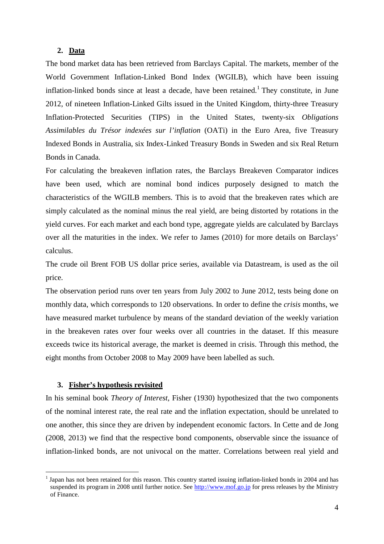# **2. Data**

The bond market data has been retrieved from Barclays Capital. The markets, member of the World Government Inflation-Linked Bond Index (WGILB), which have been issuing inflation-linked bonds since at least a decade, have been retained.<sup>1</sup> They constitute, in June 2012, of nineteen Inflation-Linked Gilts issued in the United Kingdom, thirty-three Treasury Inflation-Protected Securities (TIPS) in the United States, twenty-six *Obligations Assimilables du Trésor indexées sur l'inflation* (OATi) in the Euro Area, five Treasury Indexed Bonds in Australia, six Index-Linked Treasury Bonds in Sweden and six Real Return Bonds in Canada.

For calculating the breakeven inflation rates, the Barclays Breakeven Comparator indices have been used, which are nominal bond indices purposely designed to match the characteristics of the WGILB members. This is to avoid that the breakeven rates which are simply calculated as the nominal minus the real yield, are being distorted by rotations in the yield curves. For each market and each bond type, aggregate yields are calculated by Barclays over all the maturities in the index. We refer to James (2010) for more details on Barclays' calculus.

The crude oil Brent FOB US dollar price series, available via Datastream, is used as the oil price.

The observation period runs over ten years from July 2002 to June 2012, tests being done on monthly data, which corresponds to 120 observations. In order to define the *crisis* months, we have measured market turbulence by means of the standard deviation of the weekly variation in the breakeven rates over four weeks over all countries in the dataset. If this measure exceeds twice its historical average, the market is deemed in crisis. Through this method, the eight months from October 2008 to May 2009 have been labelled as such.

# **3. Fisher's hypothesis revisited**

 $\overline{a}$ 

In his seminal book *Theory of Interest*, Fisher (1930) hypothesized that the two components of the nominal interest rate, the real rate and the inflation expectation, should be unrelated to one another, this since they are driven by independent economic factors. In Cette and de Jong (2008, 2013) we find that the respective bond components, observable since the issuance of inflation-linked bonds, are not univocal on the matter. Correlations between real yield and

<sup>&</sup>lt;sup>1</sup> Japan has not been retained for this reason. This country started issuing inflation-linked bonds in 2004 and has suspended its program in 2008 until further notice. See http://www.mof.go.jp for press releases by the Ministry of Finance.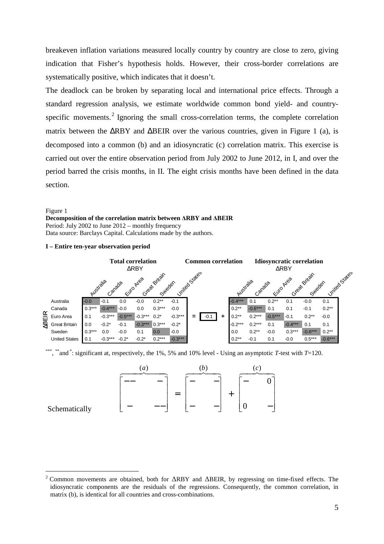breakeven inflation variations measured locally country by country are close to zero, giving indication that Fisher's hypothesis holds. However, their cross-border correlations are systematically positive, which indicates that it doesn't.

The deadlock can be broken by separating local and international price effects. Through a standard regression analysis, we estimate worldwide common bond yield- and countryspecific movements.<sup>2</sup> Ignoring the small cross-correlation terms, the complete correlation matrix between the ∆RBY and ∆BEIR over the various countries, given in Figure 1 (a), is decomposed into a common (b) and an idiosyncratic (c) correlation matrix. This exercise is carried out over the entire observation period from July 2002 to June 2012, in I, and over the period barred the crisis months, in II. The eight crisis months have been defined in the data section.

#### Figure 1

#### **Decomposition of the correlation matrix between** ∆**RBY and** ∆**BEIR**

Period: July 2002 to June 2012 – monthly frequency Data source: Barclays Capital. Calculations made by the authors.

#### **I – Entire ten-year observation period**



\*\*\*, \*\*and \*: significant at, respectively, the 1%, 5% and 10% level - Using an asymptotic *T*-test with *T*=120.



# Schematically

 $\overline{a}$ 

<sup>&</sup>lt;sup>2</sup> Common movements are obtained, both for  $\triangle RBY$  and  $\triangle BEIR$ , by regressing on time-fixed effects. The idiosyncratic components are the residuals of the regressions. Consequently, the common correlation, in matrix (b), is identical for all countries and cross-combinations.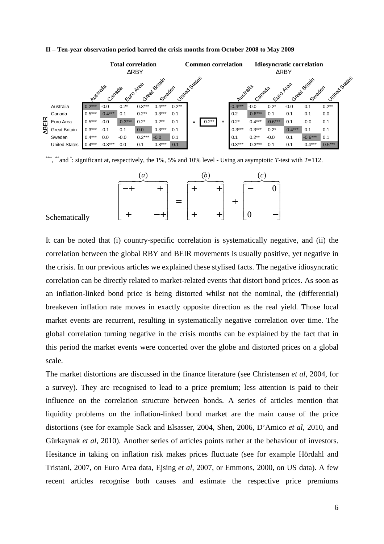

#### **II – Ten-year observation period barred the crisis months from October 2008 to May 2009**

\*\*\* , \*\*and \*: significant at, respectively, the 1%, 5% and 10% level - Using an asymptotic *T*-test with *T*=112.

| $\mathfrak a$ |  |  |  |
|---------------|--|--|--|
|               |  |  |  |
|               |  |  |  |
|               |  |  |  |

#### Schematically

It can be noted that (i) country-specific correlation is systematically negative, and (ii) the correlation between the global RBY and BEIR movements is usually positive, yet negative in the crisis. In our previous articles we explained these stylised facts. The negative idiosyncratic correlation can be directly related to market-related events that distort bond prices. As soon as an inflation-linked bond price is being distorted whilst not the nominal, the (differential) breakeven inflation rate moves in exactly opposite direction as the real yield. Those local market events are recurrent, resulting in systematically negative correlation over time. The global correlation turning negative in the crisis months can be explained by the fact that in this period the market events were concerted over the globe and distorted prices on a global scale.

The market distortions are discussed in the finance literature (see Christensen *et al*, 2004, for a survey). They are recognised to lead to a price premium; less attention is paid to their influence on the correlation structure between bonds. A series of articles mention that liquidity problems on the inflation-linked bond market are the main cause of the price distortions (see for example Sack and Elsasser, 2004, Shen, 2006, D'Amico *et al*, 2010, and Gürkaynak *et al*, 2010). Another series of articles points rather at the behaviour of investors. Hesitance in taking on inflation risk makes prices fluctuate (see for example Hördahl and Tristani, 2007, on Euro Area data, Ejsing *et al*, 2007, or Emmons, 2000, on US data). A few recent articles recognise both causes and estimate the respective price premiums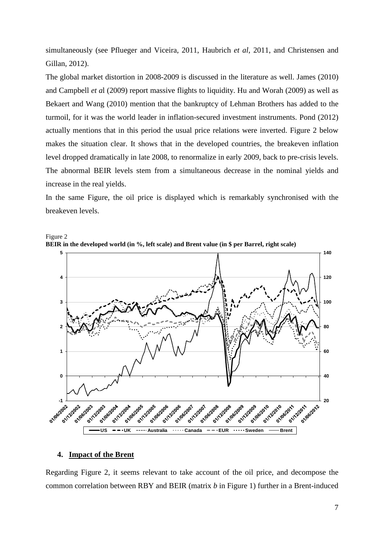simultaneously (see Pflueger and Viceira, 2011, Haubrich *et al*, 2011, and Christensen and Gillan, 2012).

The global market distortion in 2008-2009 is discussed in the literature as well. James (2010) and Campbell *et a*l (2009) report massive flights to liquidity. Hu and Worah (2009) as well as Bekaert and Wang (2010) mention that the bankruptcy of Lehman Brothers has added to the turmoil, for it was the world leader in inflation-secured investment instruments. Pond (2012) actually mentions that in this period the usual price relations were inverted. Figure 2 below makes the situation clear. It shows that in the developed countries, the breakeven inflation level dropped dramatically in late 2008, to renormalize in early 2009, back to pre-crisis levels. The abnormal BEIR levels stem from a simultaneous decrease in the nominal yields and increase in the real yields.

In the same Figure, the oil price is displayed which is remarkably synchronised with the breakeven levels.



Figure 2 **BEIR in the developed world (in %, left scale) and Brent value (in \$ per Barrel, right scale)** 

# **4. Impact of the Brent**

Regarding Figure 2, it seems relevant to take account of the oil price, and decompose the common correlation between RBY and BEIR (matrix *b* in Figure 1) further in a Brent-induced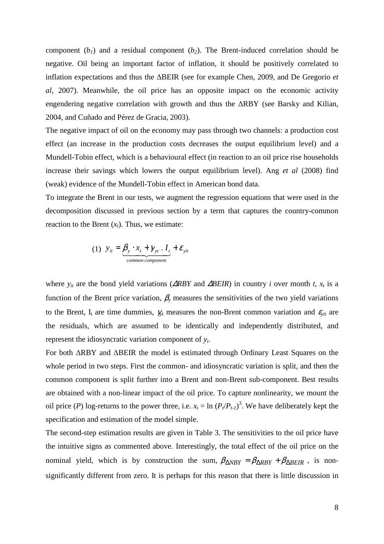component  $(b_1)$  and a residual component  $(b_2)$ . The Brent-induced correlation should be negative. Oil being an important factor of inflation, it should be positively correlated to inflation expectations and thus the ∆BEIR (see for example Chen, 2009, and De Gregorio *et al*, 2007). Meanwhile, the oil price has an opposite impact on the economic activity engendering negative correlation with growth and thus the ∆RBY (see Barsky and Kilian, 2004, and Cuñado and Pérez de Gracia, 2003).

The negative impact of oil on the economy may pass through two channels: a production cost effect (an increase in the production costs decreases the output equilibrium level) and a Mundell-Tobin effect, which is a behavioural effect (in reaction to an oil price rise households increase their savings which lowers the output equilibrium level). Ang *et al* (2008) find (weak) evidence of the Mundell-Tobin effect in American bond data.

To integrate the Brent in our tests, we augment the regression equations that were used in the decomposition discussed in previous section by a term that captures the country-common reaction to the Brent  $(x_t)$ . Thus, we estimate:

(1) 
$$
y_{it} = \underbrace{\beta_{y} \cdot x_{t} + \gamma_{yt} \cdot I_{t}}_{common component} + \varepsilon_{yit}
$$

where  $y_{it}$  are the bond yield variations ( $\triangle RBY$  and  $\triangle BEIR$ ) in country *i* over month *t*,  $x_t$  is a function of the Brent price variation,  $\beta_y$  measures the sensitivities of the two yield variations to the Brent, I<sub>t</sub> are time dummies,  $\gamma_{yt}$  measures the non-Brent common variation and  $\varepsilon_{yit}$  are the residuals, which are assumed to be identically and independently distributed, and represent the idiosyncratic variation component of *y<sup>i</sup>* .

For both ∆RBY and ∆BEIR the model is estimated through Ordinary Least Squares on the whole period in two steps. First the common- and idiosyncratic variation is split, and then the common component is split further into a Brent and non-Brent sub-component. Best results are obtained with a non-linear impact of the oil price. To capture nonlinearity, we mount the oil price (*P*) log-returns to the power three, i.e.  $x_t = \ln (P_t/P_{t-1})^3$ . We have deliberately kept the specification and estimation of the model simple.

The second-step estimation results are given in Table 3. The sensitivities to the oil price have the intuitive signs as commented above. Interestingly, the total effect of the oil price on the nominal yield, which is by construction the sum,  $\beta_{\Delta NBY} = \beta_{\Delta RBY} + \beta_{\Delta BEIR}$ , is nonsignificantly different from zero. It is perhaps for this reason that there is little discussion in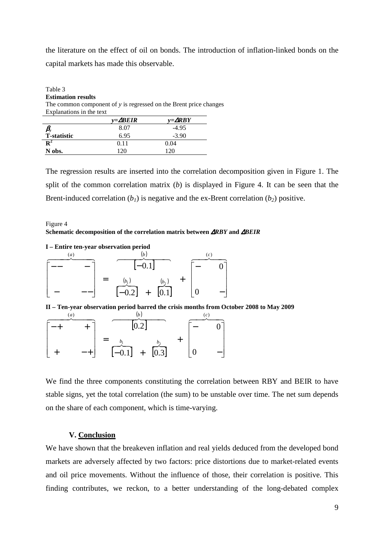the literature on the effect of oil on bonds. The introduction of inflation-linked bonds on the capital markets has made this observable.

| Table 3                   |                   |                                                                     |
|---------------------------|-------------------|---------------------------------------------------------------------|
| <b>Estimation results</b> |                   |                                                                     |
|                           |                   | The common component of $y$ is regressed on the Brent price changes |
| Explanations in the text  |                   |                                                                     |
|                           | $v = \Delta BEIR$ | $v = \Delta RBY$                                                    |
|                           | 8.07              | $-495$                                                              |

| $\beta_{\scriptscriptstyle\rm y}$ | 8.07 | $-4.95$ |
|-----------------------------------|------|---------|
| <b>T-statistic</b>                | 6.95 | $-3.90$ |
| $\mathbf{R}^2$                    | 0.11 | 0.04    |
| N obs.                            | 120  | $120 -$ |

The regression results are inserted into the correlation decomposition given in Figure 1. The split of the common correlation matrix (*b*) is displayed in Figure 4. It can be seen that the Brent-induced correlation  $(b<sub>1</sub>)$  is negative and the ex-Brent correlation  $(b<sub>2</sub>)$  positive.

# Figure 4 **Schematic decomposition of the correlation matrix between** ∆*RBY* **and** ∆*BEIR*

#### **I – Entire ten-year observation period**

|  | $-0.1$                                                           |  |  |  |
|--|------------------------------------------------------------------|--|--|--|
|  | $\overline{[0.1]}$<br>$\begin{bmatrix} 0.2 \end{bmatrix}$<br>$+$ |  |  |  |

**II – Ten-year observation period barred the crisis months from October 2008 to May 2009** 

|  |  | 0.2                                              |  |  |  |
|--|--|--------------------------------------------------|--|--|--|
|  |  | $\left[\overline{0.3}\right]$<br>$[-0.1]$<br>$+$ |  |  |  |

We find the three components constituting the correlation between RBY and BEIR to have stable signs, yet the total correlation (the sum) to be unstable over time. The net sum depends on the share of each component, which is time-varying.

# **V. Conclusion**

We have shown that the breakeven inflation and real yields deduced from the developed bond markets are adversely affected by two factors: price distortions due to market-related events and oil price movements. Without the influence of those, their correlation is positive. This finding contributes, we reckon, to a better understanding of the long-debated complex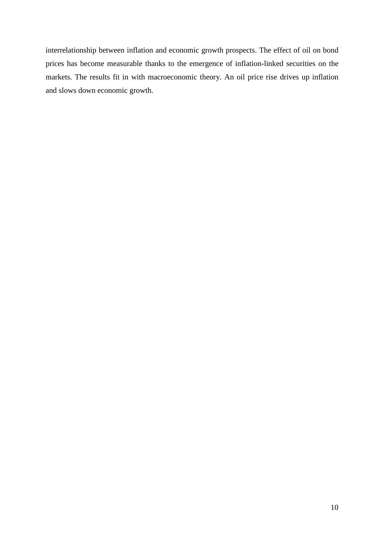interrelationship between inflation and economic growth prospects. The effect of oil on bond prices has become measurable thanks to the emergence of inflation-linked securities on the markets. The results fit in with macroeconomic theory. An oil price rise drives up inflation and slows down economic growth.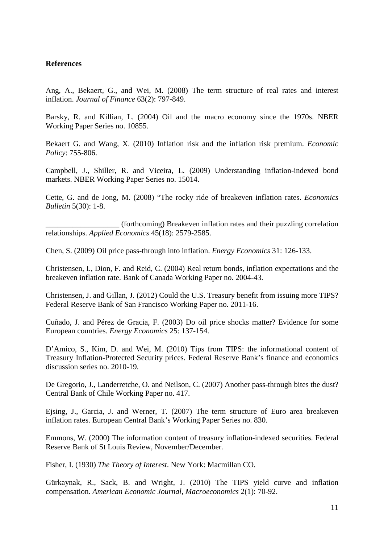# **References**

Ang, A., Bekaert, G., and Wei, M. (2008) The term structure of real rates and interest inflation. *Journal of Finance* 63(2): 797-849.

Barsky, R. and Killian, L. (2004) Oil and the macro economy since the 1970s. NBER Working Paper Series no. 10855.

Bekaert G. and Wang, X. (2010) Inflation risk and the inflation risk premium. *Economic Policy*: 755-806.

Campbell, J., Shiller, R. and Viceira, L. (2009) Understanding inflation-indexed bond markets. NBER Working Paper Series no. 15014.

Cette, G. and de Jong, M. (2008) "The rocky ride of breakeven inflation rates. *Economics Bulletin* 5(30): 1-8.

\_\_\_\_\_\_\_\_\_\_\_\_\_\_\_\_\_\_\_ (forthcoming) Breakeven inflation rates and their puzzling correlation relationships. *Applied Economics* 45(18): 2579-2585.

Chen, S. (2009) Oil price pass-through into inflation. *Energy Economics* 31: 126-133.

Christensen, I., Dion, F. and Reid, C. (2004) Real return bonds, inflation expectations and the breakeven inflation rate. Bank of Canada Working Paper no. 2004-43.

Christensen, J. and Gillan, J. (2012) Could the U.S. Treasury benefit from issuing more TIPS? Federal Reserve Bank of San Francisco Working Paper no. 2011-16.

Cuñado, J. and Pérez de Gracia, F. (2003) Do oil price shocks matter? Evidence for some European countries. *Energy Economics* 25: 137-154.

D'Amico, S., Kim, D. and Wei, M. (2010) Tips from TIPS: the informational content of Treasury Inflation-Protected Security prices. Federal Reserve Bank's finance and economics discussion series no. 2010-19.

De Gregorio, J., Landerretche, O. and Neilson, C. (2007) Another pass-through bites the dust? Central Bank of Chile Working Paper no. 417.

Ejsing, J., Garcia, J. and Werner, T. (2007) The term structure of Euro area breakeven inflation rates. European Central Bank's Working Paper Series no. 830.

Emmons, W. (2000) The information content of treasury inflation-indexed securities. Federal Reserve Bank of St Louis Review, November/December.

Fisher, I. (1930) *The Theory of Interest*. New York: Macmillan CO.

Gürkaynak, R., Sack, B. and Wright, J. (2010) The TIPS yield curve and inflation compensation. *American Economic Journal, Macroeconomics* 2(1): 70-92.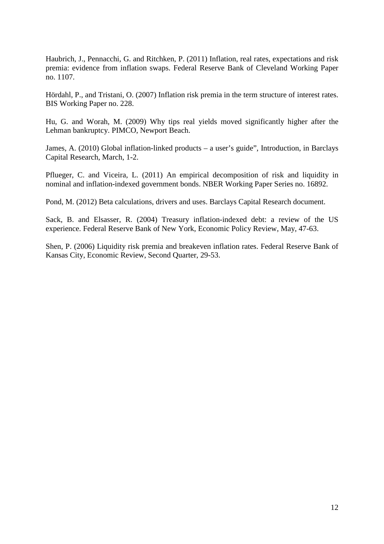Haubrich, J., Pennacchi, G. and Ritchken, P. (2011) Inflation, real rates, expectations and risk premia: evidence from inflation swaps. Federal Reserve Bank of Cleveland Working Paper no. 1107.

Hördahl, P., and Tristani, O. (2007) Inflation risk premia in the term structure of interest rates. BIS Working Paper no. 228.

Hu, G. and Worah, M. (2009) Why tips real yields moved significantly higher after the Lehman bankruptcy. PIMCO, Newport Beach.

James, A. (2010) Global inflation-linked products – a user's guide", Introduction, in Barclays Capital Research, March, 1-2.

Pflueger, C. and Viceira, L. (2011) An empirical decomposition of risk and liquidity in nominal and inflation-indexed government bonds. NBER Working Paper Series no. 16892.

Pond, M. (2012) Beta calculations, drivers and uses. Barclays Capital Research document.

Sack, B. and Elsasser, R. (2004) Treasury inflation-indexed debt: a review of the US experience. Federal Reserve Bank of New York, Economic Policy Review, May, 47-63.

Shen, P. (2006) Liquidity risk premia and breakeven inflation rates. Federal Reserve Bank of Kansas City, Economic Review, Second Quarter, 29-53.